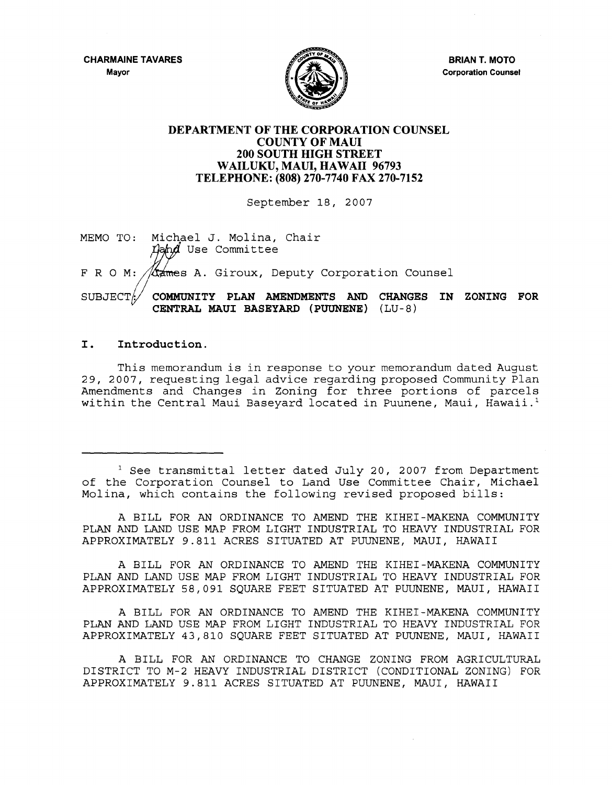**CHARMAINE TAVARES** 





**BRIAN T. MOTO Corporation Counsel** 

## **DEPARTMENT OF THE CORPORATION COUNSEL COUNTY OF MAUl 200 SOUTH HIGH STREET WAILUKU, MAUl, HAWAII 96793 TELEPHONE: (808) 270-7740 FAX 270-7152**

September 18, 2007

MEMO TO: Michael J. Molina, Chair Land Use Committee FRO M: *ta*mes A. Giroux, Deputy Corporation Counsel SUBJECT: **COMMUNITY PLAN AMENDMENTS AND CHANGES IN ZONING FOR CENTRAL MAUl BASEYARD (PUUNENE)** (LU-8)

## **I. Introduction.**

This memorandum is in response to your memorandum dated August 29, 2007, requesting legal advice regarding proposed Community plan Amendments and Changes in Zoning for three portions of parcels within the Central Maui Baseyard located in Puunene, Maui, Hawaii.<sup>1</sup>

<sup>1</sup> See transmittal letter dated July 20, 2007 from Department of the Corporation Counsel to Land Use Committee Chair, Michael Molina, which contains the following revised proposed bills:

A BILL FOR AN ORDINANCE TO AMEND THE KIHEI-MAKENA COMMUNITY PLAN AND LAND USE MAP FROM LIGHT INDUSTRIAL TO HEAVY INDUSTRIAL FOR APPROXIMATELY 9.811 ACRES SITUATED AT PUUNENE, MAUl, HAWAII

A BILL FOR AN ORDINANCE TO AMEND THE KIHEI-MAKENA COMMUNITY PLAN AND LAND USE MAP FROM LIGHT INDUSTRIAL TO HEAVY INDUSTRIAL FOR APPROXIMATELY 58,091 SQUARE FEET SITUATED AT PUUNENE, MAUl, HAWAII

A BILL FOR AN ORDINANCE TO AMEND THE KIHEI-MAKENA COMMUNITY PLAN AND LAND USE MAP FROM LIGHT INDUSTRIAL TO HEAVY INDUSTRIAL FOR APPROXIMATELY 43,810 SQUARE FEET SITUATED AT PUUNENE, MAUl, HAWAII

A BILL FOR AN ORDINANCE TO CHANGE ZONING FROM AGRICULTURAL DISTRICT TO M-2 HEAVY INDUSTRIAL DISTRICT (CONDITIONAL ZONING) FOR APPROXIMATELY 9.811 ACRES SITUATED AT PUUNENE, MAUl, HAWAII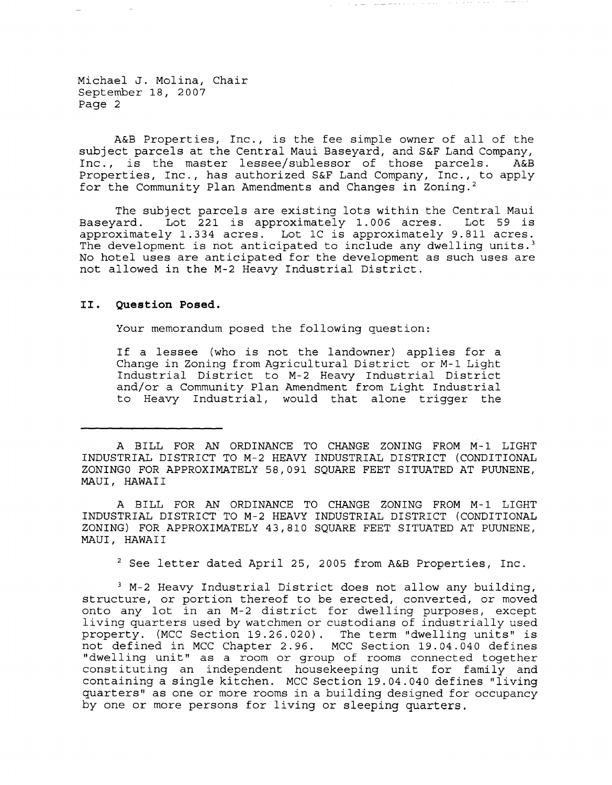Michael J. Molina, Chair September 18, 2007 Page 2

A&B Properties, Inc., is the fee simple owner of all of the subject parcels at the Central Maui Baseyard, and S&F Land Company,<br>Inc., is the master lessee/sublessor of those parcels. A&B Inc., is the master lessee/sublessor of those parcels. Properties, Inc., has authorized S&F Land Company, Inc., to apply for the Community Plan Amendments and Changes in Zoning. <sup>2</sup>

 $\mathcal{L} \mathcal{L} = \mathcal{L} \mathcal{L} + \mathcal{L} \mathcal{L} \mathcal{L}$ 

The subject parcels are existing lots within the Central Maui<br>Basevard. Lot 221 is approximately 1.006 acres. Lot 59 is Lot 221 is approximately 1.006 acres. approximately 1.334 acres. Lot 1C is approximately 9.811 acres. The development is not anticipated to include any dwelling units.<sup>3</sup> No hotel uses are anticipated for the development as such uses are not allowed in the M-2 Heavy Industrial District.

## **II. Question Posed.**

Your memorandum posed the following question:

If a lessee (who is not the landowner) applies for a Change in Zoning from Agricultural District or M-1 Light Industrial District to M-2 Heavy Industrial District and/or a Community Plan Amendment from Light Industrial to Heavy Industrial, would that alone trigger the

A BILL FOR AN ORDINANCE TO CHANGE ZONING FROM M-1 LIGHT INDUSTRIAL DISTRICT TO M-2 HEAVY INDUSTRIAL DISTRICT (CONDITIONAL ZONING) FOR APPROXIMATELY 43,810 SQUARE FEET SITUATED AT PUUNENE, MAUl, HAWAI I

2 See letter dated April 25, 2005 from A&B Properties, Inc.

3 M-2 Heavy Industrial District does not allow any building, structure, or portion thereof to be erected, converted, or moved onto any lot in an M-2 district for dwelling purposes, except living quarters used by watchmen or custodians of industrially used property. (MCC Section 19.26.020). The term "dwelling units" is not defined in MCC Chapter 2.96. MCC Section 19.04.040 defines "dwelling unit" as a room or group of rooms connected together constituting an independent housekeeping unit for family and containing a single kitchen. MCC Section 19.04.040 defines "living quarters" as one or more rooms in a building designed for occupancy by one or more persons for living or sleeping quarters.

A BILL FOR AN ORDINANCE TO CHANGE ZONING FROM M-1 LIGHT INDUSTRIAL DISTRICT TO M-2 HEAVY INDUSTRIAL DISTRICT (CONDITIONAL ZONINGO FOR APPROXIMATELY 58,091 SQUARE FEET SITUATED AT PUUNENE, MAUl, HAWAI I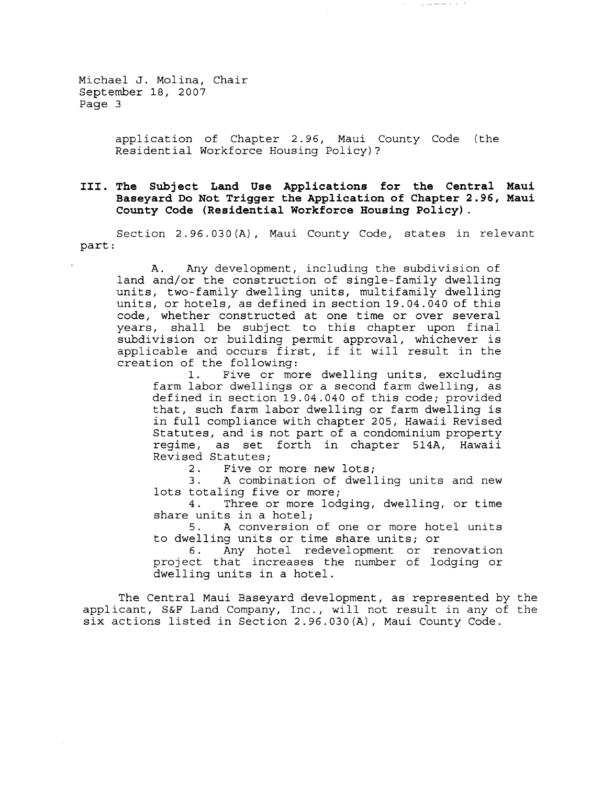Michael J. Molina, Chair September 18, 2007 Page 3

> application of Chapter 2.96, Maui County Code (the Residential Workforce Housing Policy)?

 $\omega$  and  $\omega$  and  $\omega$  and  $\omega$ 

## **III. The Subject Land Use Applications for the Central Maui Baseyard Do Not Trigger the Application of Chapter 2.96, Maui County Code (Residential Workforce Housing Policy) .**

Section 2.96.030 (A), Maui County Code, states in relevant part:

A. Any development, including the subdivision of land and/or the construction of single-family dwelling units, two-family dwelling units, multifamily dwelling units, or hotels, as defined in section 19.04.040 of this code, whether constructed at one time or over several years, shall be subject to this chapter upon final subdivision or building permit approval, whichever is applicable and occurs first, if it will result in the creation of the following:

1. Five or more dwelling units, excluding farm labor dwellings or a second farm dwelling, as defined in section 19.04.040 of this code; provided that, such farm labor dwelling or farm dwelling is in full compliance with chapter 205, Hawaii Revised Statutes, and is not part of a condominium property regime, as set forth in chapter 514A, Hawaii Revised Statutes;

2. Five or more new lots;<br>3. A combination of dwell

3. A combination of dwelling units and new lots totaling five or more;

4. Three or more lodging, dwelling, or time share units in a hotel;<br>5. A conversion

A conversion of one or more hotel units to dwelling units or time share units; or

Any hotel redevelopment or renovation project that increases the number of lodging or dwelling units in a hotel.

The Central Maui Baseyard development, as represented by the applicant, S&F Land Company, Inc., will not result in any of the six actions listed in Section 2.96.030(A), Maui County Code.